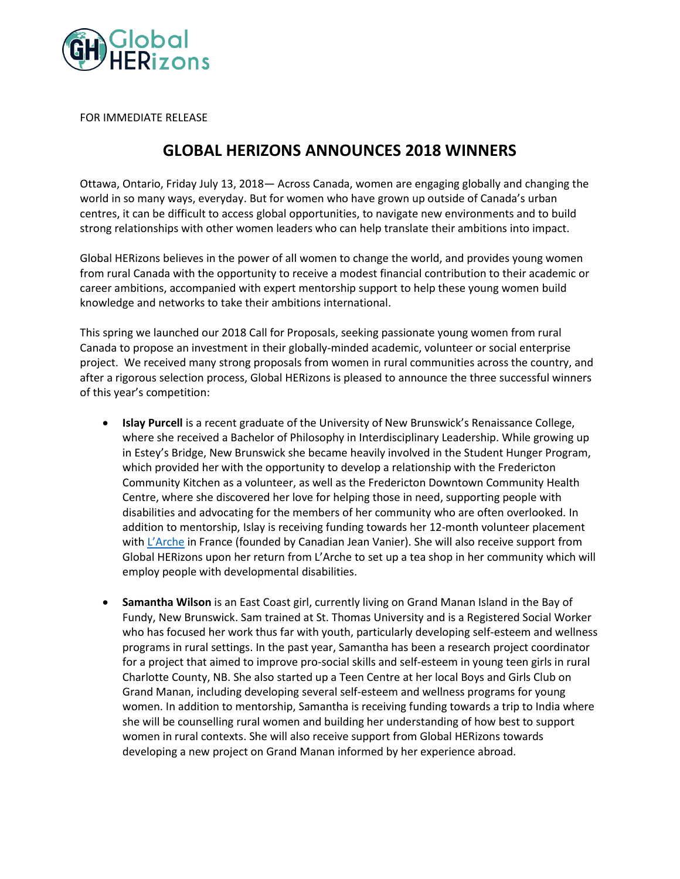

FOR IMMEDIATE RELEASE

## **GLOBAL HERIZONS ANNOUNCES 2018 WINNERS**

Ottawa, Ontario, Friday July 13, 2018— Across Canada, women are engaging globally and changing the world in so many ways, everyday. But for women who have grown up outside of Canada's urban centres, it can be difficult to access global opportunities, to navigate new environments and to build strong relationships with other women leaders who can help translate their ambitions into impact.

Global HERizons believes in the power of all women to change the world, and provides young women from rural Canada with the opportunity to receive a modest financial contribution to their academic or career ambitions, accompanied with expert mentorship support to help these young women build knowledge and networks to take their ambitions international.

This spring we launched our 2018 Call for Proposals, seeking passionate young women from rural Canada to propose an investment in their globally-minded academic, volunteer or social enterprise project. We received many strong proposals from women in rural communities across the country, and after a rigorous selection process, Global HERizons is pleased to announce the three successful winners of this year's competition:

- **Islay Purcell** is a recent graduate of the University of New Brunswick's Renaissance College, where she received a Bachelor of Philosophy in Interdisciplinary Leadership. While growing up in Estey's Bridge, New Brunswick she became heavily involved in the Student Hunger Program, which provided her with the opportunity to develop a relationship with the Fredericton Community Kitchen as a volunteer, as well as the Fredericton Downtown Community Health Centre, where she discovered her love for helping those in need, supporting people with disabilities and advocating for the members of her community who are often overlooked. In addition to mentorship, Islay is receiving funding towards her 12-month volunteer placement with [L'Arche](https://www.larche.org/welcome) in France (founded by Canadian Jean Vanier). She will also receive support from Global HERizons upon her return from L'Arche to set up a tea shop in her community which will employ people with developmental disabilities.
- **Samantha Wilson** is an East Coast girl, currently living on Grand Manan Island in the Bay of Fundy, New Brunswick. Sam trained at St. Thomas University and is a Registered Social Worker who has focused her work thus far with youth, particularly developing self-esteem and wellness programs in rural settings. In the past year, Samantha has been a research project coordinator for a project that aimed to improve pro-social skills and self-esteem in young teen girls in rural Charlotte County, NB. She also started up a Teen Centre at her local Boys and Girls Club on Grand Manan, including developing several self-esteem and wellness programs for young women. In addition to mentorship, Samantha is receiving funding towards a trip to India where she will be counselling rural women and building her understanding of how best to support women in rural contexts. She will also receive support from Global HERizons towards developing a new project on Grand Manan informed by her experience abroad.